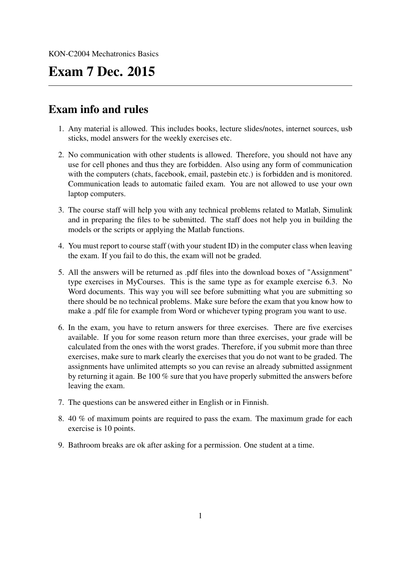#### Exam 7 Dec. 2015

#### Exam info and rules

- 1. Any material is allowed. This includes books, lecture slides/notes, internet sources, usb sticks, model answers for the weekly exercises etc.
- 2. No communication with other students is allowed. Therefore, you should not have any use for cell phones and thus they are forbidden. Also using any form of communication with the computers (chats, facebook, email, pastebin etc.) is forbidden and is monitored. Communication leads to automatic failed exam. You are not allowed to use your own laptop computers.
- 3. The course staff will help you with any technical problems related to Matlab, Simulink and in preparing the files to be submitted. The staff does not help you in building the models or the scripts or applying the Matlab functions.
- 4. You must report to course staff (with your student ID) in the computer class when leaving the exam. If you fail to do this, the exam will not be graded.
- 5. All the answers will be returned as .pdf files into the download boxes of "Assignment" type exercises in MyCourses. This is the same type as for example exercise 6.3. No Word documents. This way you will see before submitting what you are submitting so there should be no technical problems. Make sure before the exam that you know how to make a .pdf file for example from Word or whichever typing program you want to use.
- 6. In the exam, you have to return answers for three exercises. There are five exercises available. If you for some reason return more than three exercises, your grade will be calculated from the ones with the worst grades. Therefore, if you submit more than three exercises, make sure to mark clearly the exercises that you do not want to be graded. The assignments have unlimited attempts so you can revise an already submitted assignment by returning it again. Be 100 % sure that you have properly submitted the answers before leaving the exam.
- 7. The questions can be answered either in English or in Finnish.
- 8. 40 % of maximum points are required to pass the exam. The maximum grade for each exercise is 10 points.
- 9. Bathroom breaks are ok after asking for a permission. One student at a time.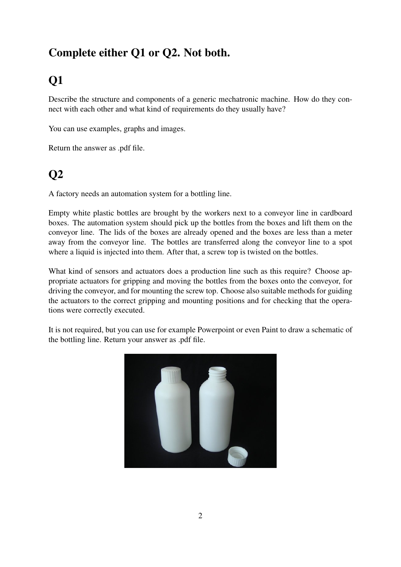#### Complete either Q1 or Q2. Not both.

## Q1

Describe the structure and components of a generic mechatronic machine. How do they connect with each other and what kind of requirements do they usually have?

You can use examples, graphs and images.

Return the answer as .pdf file.

### Q2

A factory needs an automation system for a bottling line.

Empty white plastic bottles are brought by the workers next to a conveyor line in cardboard boxes. The automation system should pick up the bottles from the boxes and lift them on the conveyor line. The lids of the boxes are already opened and the boxes are less than a meter away from the conveyor line. The bottles are transferred along the conveyor line to a spot where a liquid is injected into them. After that, a screw top is twisted on the bottles.

What kind of sensors and actuators does a production line such as this require? Choose appropriate actuators for gripping and moving the bottles from the boxes onto the conveyor, for driving the conveyor, and for mounting the screw top. Choose also suitable methods for guiding the actuators to the correct gripping and mounting positions and for checking that the operations were correctly executed.

It is not required, but you can use for example Powerpoint or even Paint to draw a schematic of the bottling line. Return your answer as .pdf file.

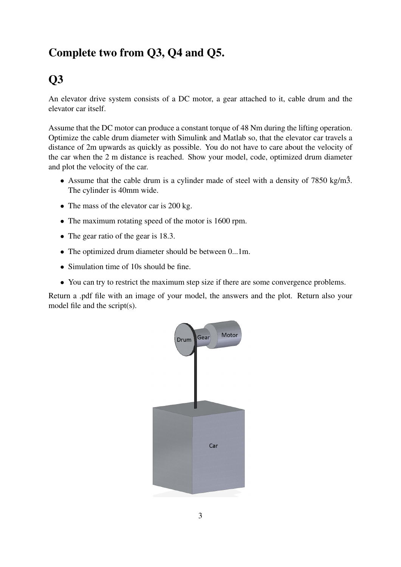#### Complete two from Q3, Q4 and Q5.

#### Q3

An elevator drive system consists of a DC motor, a gear attached to it, cable drum and the elevator car itself.

Assume that the DC motor can produce a constant torque of 48 Nm during the lifting operation. Optimize the cable drum diameter with Simulink and Matlab so, that the elevator car travels a distance of 2m upwards as quickly as possible. You do not have to care about the velocity of the car when the 2 m distance is reached. Show your model, code, optimized drum diameter and plot the velocity of the car.

- Assume that the cable drum is a cylinder made of steel with a density of  $7850 \text{ kg/m}\hat{3}$ . The cylinder is 40mm wide.
- The mass of the elevator car is 200 kg.
- The maximum rotating speed of the motor is 1600 rpm.
- The gear ratio of the gear is 18.3.
- The optimized drum diameter should be between 0...1m.
- Simulation time of 10s should be fine.
- You can try to restrict the maximum step size if there are some convergence problems.

Return a .pdf file with an image of your model, the answers and the plot. Return also your model file and the script(s).

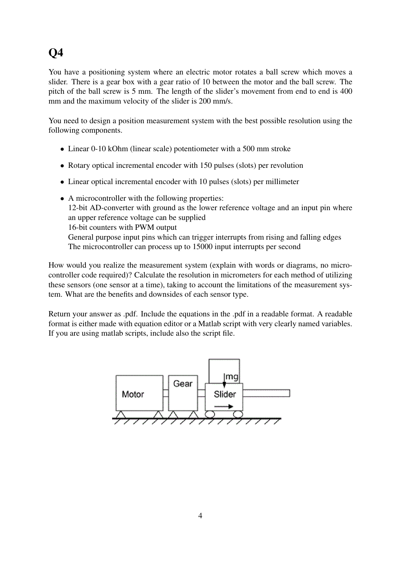## Q4

You have a positioning system where an electric motor rotates a ball screw which moves a slider. There is a gear box with a gear ratio of 10 between the motor and the ball screw. The pitch of the ball screw is 5 mm. The length of the slider's movement from end to end is 400 mm and the maximum velocity of the slider is 200 mm/s.

You need to design a position measurement system with the best possible resolution using the following components.

- Linear 0-10 kOhm (linear scale) potentiometer with a 500 mm stroke
- Rotary optical incremental encoder with 150 pulses (slots) per revolution
- Linear optical incremental encoder with 10 pulses (slots) per millimeter
- A microcontroller with the following properties: 12-bit AD-converter with ground as the lower reference voltage and an input pin where an upper reference voltage can be supplied 16-bit counters with PWM output General purpose input pins which can trigger interrupts from rising and falling edges The microcontroller can process up to 15000 input interrupts per second

How would you realize the measurement system (explain with words or diagrams, no microcontroller code required)? Calculate the resolution in micrometers for each method of utilizing these sensors (one sensor at a time), taking to account the limitations of the measurement system. What are the benefits and downsides of each sensor type.

Return your answer as .pdf. Include the equations in the .pdf in a readable format. A readable format is either made with equation editor or a Matlab script with very clearly named variables. If you are using matlab scripts, include also the script file.